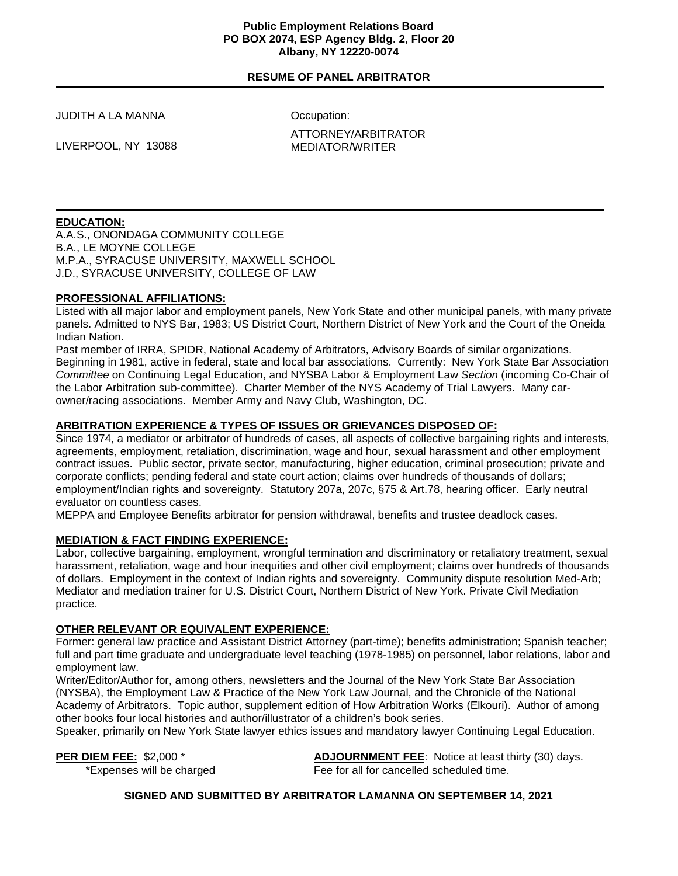#### **Public Employment Relations Board PO BOX 2074, ESP Agency Bldg. 2, Floor 20 Albany, NY 12220-0074**

# **RESUME OF PANEL ARBITRATOR**

JUDITH A LA MANNA

Occupation:

LIVERPOOL, NY 13088

ATTORNEY/ARBITRATOR MEDIATOR/WRITER

# **EDUCATION:**

A.A.S., ONONDAGA COMMUNITY COLLEGE B.A., LE MOYNE COLLEGE M.P.A., SYRACUSE UNIVERSITY, MAXWELL SCHOOL J.D., SYRACUSE UNIVERSITY, COLLEGE OF LAW

# **PROFESSIONAL AFFILIATIONS:**

Listed with all major labor and employment panels, New York State and other municipal panels, with many private panels. Admitted to NYS Bar, 1983; US District Court, Northern District of New York and the Court of the Oneida Indian Nation.

Past member of IRRA, SPIDR, National Academy of Arbitrators, Advisory Boards of similar organizations. Beginning in 1981, active in federal, state and local bar associations. Currently: New York State Bar Association *Committee* on Continuing Legal Education, and NYSBA Labor & Employment Law *Section* (incoming Co-Chair of the Labor Arbitration sub-committee). Charter Member of the NYS Academy of Trial Lawyers. Many carowner/racing associations. Member Army and Navy Club, Washington, DC.

# **ARBITRATION EXPERIENCE & TYPES OF ISSUES OR GRIEVANCES DISPOSED OF:**

Since 1974, a mediator or arbitrator of hundreds of cases, all aspects of collective bargaining rights and interests, agreements, employment, retaliation, discrimination, wage and hour, sexual harassment and other employment contract issues. Public sector, private sector, manufacturing, higher education, criminal prosecution; private and corporate conflicts; pending federal and state court action; claims over hundreds of thousands of dollars; employment/Indian rights and sovereignty. Statutory 207a, 207c, §75 & Art.78, hearing officer. Early neutral evaluator on countless cases.

MEPPA and Employee Benefits arbitrator for pension withdrawal, benefits and trustee deadlock cases.

#### **MEDIATION & FACT FINDING EXPERIENCE:**

Labor, collective bargaining, employment, wrongful termination and discriminatory or retaliatory treatment, sexual harassment, retaliation, wage and hour inequities and other civil employment; claims over hundreds of thousands of dollars. Employment in the context of Indian rights and sovereignty. Community dispute resolution Med-Arb; Mediator and mediation trainer for U.S. District Court, Northern District of New York. Private Civil Mediation practice.

# **OTHER RELEVANT OR EQUIVALENT EXPERIENCE:**

Former: general law practice and Assistant District Attorney (part-time); benefits administration; Spanish teacher; full and part time graduate and undergraduate level teaching (1978-1985) on personnel, labor relations, labor and employment law.

Writer/Editor/Author for, among others, newsletters and the Journal of the New York State Bar Association (NYSBA), the Employment Law & Practice of the New York Law Journal, and the Chronicle of the National Academy of Arbitrators. Topic author, supplement edition of How Arbitration Works (Elkouri). Author of among other books four local histories and author/illustrator of a children's book series.

Speaker, primarily on New York State lawyer ethics issues and mandatory lawyer Continuing Legal Education.

**PER DIEM FEE:** \$2,000 \* **ADJOURNMENT FEE:** Notice at least thirty (30) days. \*Expenses will be charged Fee for all for cancelled scheduled time.

#### **SIGNED AND SUBMITTED BY ARBITRATOR LAMANNA ON SEPTEMBER 14, 2021**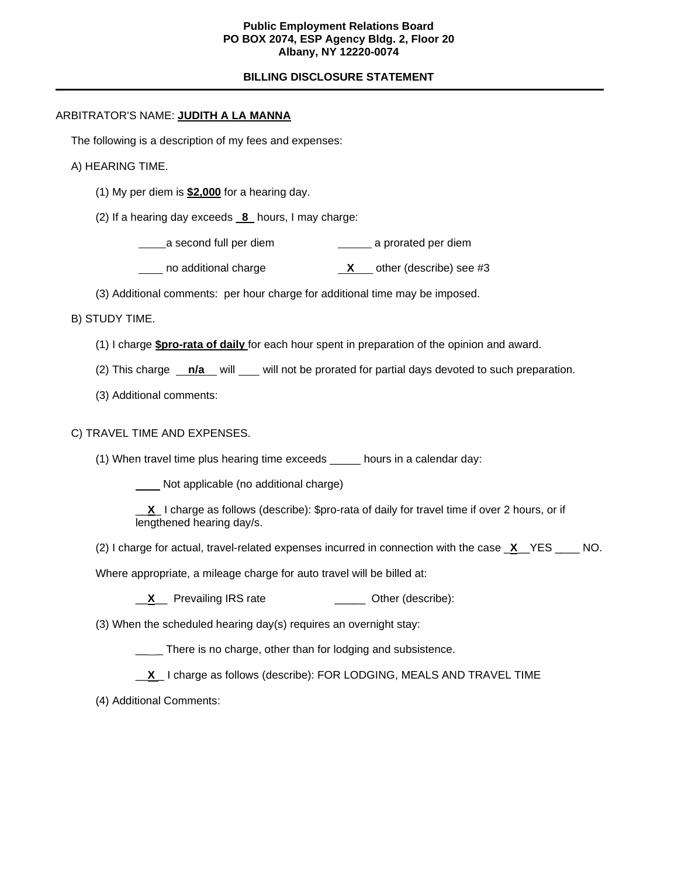### **Public Employment Relations Board PO BOX 2074, ESP Agency Bldg. 2, Floor 20 Albany, NY 12220-0074**

## **BILLING DISCLOSURE STATEMENT**

### ARBITRATOR'S NAME: **JUDITH A LA MANNA**

The following is a description of my fees and expenses:

- A) HEARING TIME.
	- (1) My per diem is **\$2,000** for a hearing day.
	- (2) If a hearing day exceeds \_**8**\_ hours, I may charge:

a second full per diem a prorated per diem

- no additional charge **X** other (describe) see #3
- (3) Additional comments: per hour charge for additional time may be imposed.
- B) STUDY TIME.
	- (1) I charge **\$pro-rata of daily** for each hour spent in preparation of the opinion and award.
	- (2) This charge **n/a** will will not be prorated for partial days devoted to such preparation.
	- (3) Additional comments:

### C) TRAVEL TIME AND EXPENSES.

(1) When travel time plus hearing time exceeds \_\_\_\_\_ hours in a calendar day:

Not applicable (no additional charge)

\_\_**X**\_ I charge as follows (describe): \$pro-rata of daily for travel time if over 2 hours, or if lengthened hearing day/s.

(2) I charge for actual, travel-related expenses incurred in connection with the case \_**X**\_\_YES \_\_\_\_ NO.

Where appropriate, a mileage charge for auto travel will be billed at:

- **X** Prevailing IRS rate **With Containers** Other (describe):
- (3) When the scheduled hearing day(s) requires an overnight stay:
	- <sub>\_\_\_</sub> There is no charge, other than for lodging and subsistence.

\_\_**X** \_ I charge as follows (describe): FOR LODGING, MEALS AND TRAVEL TIME

(4) Additional Comments: